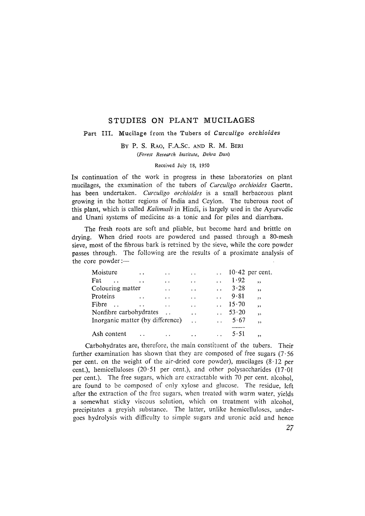# STUDIES ON PLANT MUCILAGES

## Part III. Mucilage from the Tubers of *Curculigo orchioides*

BY P. S. RAO, F.A.Sc. AND R. M. BERI *(Forest Research Institute, Dehra Dun)* 

### Received July 18, 1950

IN continuation of the work in progress in these laboratories on plant mucilages, the examination of the tubers of *Curculigo orchioides* Gaertn. has been undertaken. *Curculigo orchioides* is a small herbaceous plant growing in the hotter regions of India and Ceylon. The tuberous root of this plant, which is called *Kalimusli* in Hindi, is largely used in the Ayurvcdic and Unani systems of medicine as a tonic and for piles and diarrhoea.

The fresh roots are soft and pliable, but become hard and brittle on drying. When dried roots are powdered and passed through a 80-mesh sieve, most of the fibrous bark is retained by the sieve, while the core powder passes through. The following are the results of a proximate analysis of the core powder:-

| $10.42$ per cent.                                                                 |
|-----------------------------------------------------------------------------------|
|                                                                                   |
|                                                                                   |
|                                                                                   |
|                                                                                   |
|                                                                                   |
|                                                                                   |
|                                                                                   |
|                                                                                   |
| ,<br>, ,<br>$\overline{\mathbf{z}}$<br>, ,<br>$\overline{\phantom{a}}$<br>,<br>,, |

Carbohydrates are, therefore, the main constituent of the tubers. Their further examination has shown that they are composed of free sugars  $(7.56$ per cent. on the weight of the air-dried core powder), mucilages  $(8.12 \text{ per}$ cent.), hemicelluloses (20.51 per cent.), and other polysaccharides (17.01 per cent.). The free sugars, which are extractable with 70 per cent. alcohol, are found to be composed of only xylose and glucose. The residue, left after the extraction of the free sugars, when treated with warm water, yields a somewhat sticky viscous solution, which on treatment with alcohol, precipitates a greyish substance. The latter, unlike hemicelluloses, undergoes hydrolysis with difficulty to simple sugars and uronic acid and hence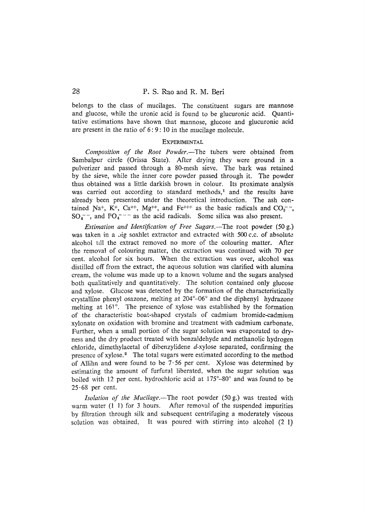belongs to the class of mucilages. The constituent sugars are mannose and glucose, while the uronic acid is found to be glucuronic acid. Quantitative estimations have shown that mannose, glucose and glucuronic acid are present in the ratio of 6:9:10 in the mucilage molecule.

#### **EXPERIMENTAL**

*Composition of the Root Powder.--The* tubers were obtained from Sambalpur circle (Orissa State). After drying they were ground in a pulverizer and passed through a 80-mesh sieve. The bark was retained by the sieve, while the inner core powder passed through it. The powder thus obtained was a little darkish brown in colour. Its proximate analysis was carried out according to standard methods, $<sup>1</sup>$  and the results have</sup> already been presented under the theoretical introduction. The ash contained Na<sup>+</sup>, K<sup>+</sup>, Ca<sup>++</sup>, Mg<sup>++</sup>, and Fe<sup>+++</sup> as the basic radicals and CO<sub>3</sub><sup>--</sup>,  $SO_4$ <sup>--</sup>, and PO<sub>4</sub><sup>---</sup> as the acid radicals. Some silica was also present.

*Estimation and Identification of Free Sugars.--The* root powder (50 g.) was taken in a big soxhlet extractor and extracted with 500 c.c. of absolute alcohol till the extract removed no more of the colouring matter. After the removal of colouring matter, the extraction was continued with 70 per cent. a!cohol for six hours. When the extraction was over, alcohol was distilled off from the extract, the aqueous solution was clarified with alumina cream, the volume was made up to a known volume and the sugars analysed both qualitatively and quantitatively. The solution contained only glucose and xylose. Glucose was detected by the formation of the characteristically crystalline phenyl osazone, melting at  $204^{\circ}$ –06 $^{\circ}$  and the diphenyl hydrazone melting at 161°. The presence of xylose was established by the formation of the characteristic boat-shaped crystals of cadmium bromide-cadmium xylonate on oxidation with bromine and treatment with cadmium carbonate. Further, when a small portion of the sugar solution was evaporated to dryness and the dry product treated with benza!dehyde and methanolic hydrogen chloride, dimethylacetal of dibenzylidene d-xylose separated, confirming the presence of xylose.<sup>2</sup> The total sugars were estimated according to the method of Allihn and were found to be  $7.56$  per cent. Xylose was determined by estimating the amount of furfura! liberated, when the sugar solution was boiled with 12 per cent. hydrochloric acid at  $175^{\circ} - 80^{\circ}$  and was found to be  $25.68$  per cent.

*Isolation of the Mucilage.--The* root powder (50 g.) was treated with warm water (1 1) for 3 hours. After removal of the suspended impurities by filtration through silk and subsequent centrifuging a moderately viscous solution was obtained. It was poured with stirring into alcohol (2 1)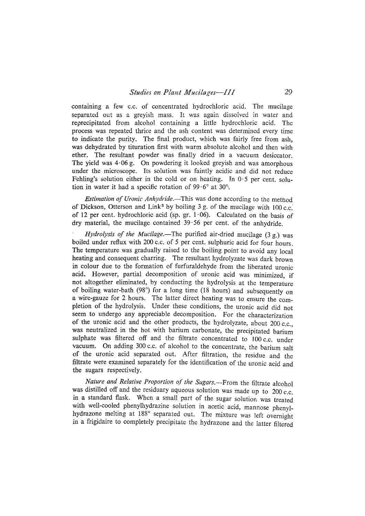containing a few c.c. of concentrated hydrochloric acid. The mucilage separated out as a greyish mass. It was again dissolved in water and reprecipitated from alcohol containing a little hydrochloric acid. The process was repeated thrice and the ash content was determined every time to indicate the purity. The final product, which was fairly free from ash, was dehydrated by tituration first with warm absolute alcohol and then with ether. The resultant powder was finally dried in a vacuum desiccator. The yield was  $4.06$  g. On powdering it looked greyish and was amorphous under the microscope. Its solution was faintly acidic and did not reduce Fehling's solution either in the cold or on heating. In  $0.5$  per cent. solution in water it had a specific rotation of  $99.6^{\circ}$  at  $30^{\circ}$ .

*Estimation of Uronic Anhydride.*--This was done according to the method of Dickson, Otterson and Link<sup>3</sup> by boiling 3 g. of the mucilage with  $100 \text{ c.c.}$ of 12 per cent. hydrochloric acid (sp. gr.  $1.06$ ). Calculated on the basis of dry material, the mucilage contained  $39.56$  per cent. of the anhydride.

*Hydrolysis of the Mucilage.*—The purified air-dried mucilage (3 g.) was boiled under reflux with 200 c.c. of 5 per cent. sulphuric acid for four hours. The temperature was gradually raised to the boiling point to avoid any local heating and consequent charring. The resultant hydrolyzate was dark brown in colour due to the formation of furfuraldehyde from the liberated uronic acid. However, partial decomposition of uronic acid was minimized, if not altogether eliminated, by conducting the hydrolysis at the temperature of boiling water-bath (98 $^{\circ}$ ) for a long time (18 hours) and subsequently on a wire-gauze for 2 hours. The latter direct heating was to ensure the completion of the hydrolysis. Under these conditions, the uronic acid did not seem to undergo any appreciable decomposition. For the characterization of the uronic acid and the other products, the hydrolyzate, about  $200$  c.c., was neutralized in the hot with barium carbonate, the precipitated barium sulphate was filtered off and the filtrate concentrated to 100 c.c. under vacuum. On adding 300 c.c. of alcohol to the concentrate, the barium salt of the uronic acid separated out. After filtration, the residue and the filtrate were examined separately for the identification of the uronic acid and the sugars respectively.

*Nature and Relative Proportion of the Sugars.--From* the filtrate alcohol was distilled off and the residuary aqueous solution was made up to 200 c.c. in a standard flask. When a small part of the sugar solution was treated with well-cooled phenylhydrazine solution in acetic acid, mannose phenylhydrazone melting at 188° separated out. The mixture was left overnight in a frigidaire to completely precipitate the hydrazone and the latter filtered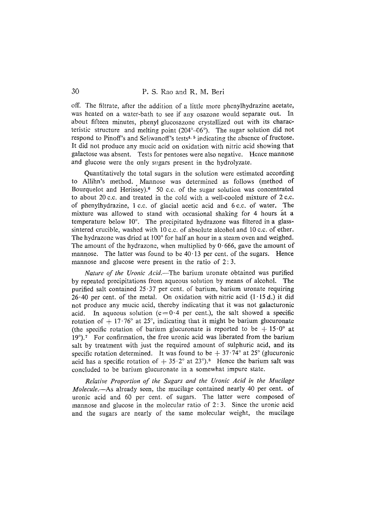off. The filtrate, after the addition of a little more phenylhydrazine acetate, was heated on a water-bath to see if any osazone would separate out. In about fifteen minutes, phenyl glucosazone crystallized out with its characteristic structure and melting point (204°-06°). The sugar solution did not respond to Pinoff's and Seliwanoff's tests<sup>4, 5</sup> indicating the absence of fructose. It did not produce any mucic acid on oxidation with nitric acid showing that galactose was absent. Tests for pentoses were also negative. Hence mannose and glucose were the only sugars present in the hydrolyzate.

Quantitatively the total sugars in the solution were estimated according to Allihn's method. Mannose was determined as follows (method of Bourquelot and Herissey). $6$  50 c.c. of the sugar solution was concentrated to about 20 c.c. and treated in the cold with a well-cooled mixture of 2 c.c. of phenylhydrazine, 1 c.c. of glacial acetic acid and 6 c.c. of water. The mixture was allowed to stand with occasional shaking for 4 hours at a temperature below  $10^{\circ}$ . The precipitated hydrazone was filtered in a glasssintered crucible, washed with 10 c.c. of absolute alcohol and 10 c.c. of ether. The hydrazone was dried at 100° for half an hour in a steam oven and weighed. The amount of the hydrazone, when multiplied by  $0.666$ , gave the amount of mannose. The latter was found to be  $40.13$  per cent. of the sugars. Hence mannose and glucose were present in the ratio of 2:3.

*Nature of the Uronic Acid.--The* barium uronate obtained was purified by repeated precipitations from aqueous solution by means of alcohol. The purified salt contained  $25.37$  per cent. of barium, barium uronate requiring  $26.40$  per cent. of the metal. On oxidation with nitric acid  $(1.15 d.)$  it did not produce any mucic acid, thereby indicating that it was not galacturonic acid. In aqueous solution ( $c=0.4$  per cent.), the salt showed a specific rotation of  $+17.76^{\circ}$  at 25°, indicating that it might be barium glucuronate (the specific rotation of barium glucuronate is reported to be  $+15.0^{\circ}$  at  $19^{\circ}$ ). 7 For confirmation, the free uronic acid was liberated from the barium salt by treatment with just the required amount of sulphuric acid, and its specific rotation determined. It was found to be  $+ 37.74^{\circ}$  at 25° (glucuronic acid has a specific rotation of  $+ 35.2^\circ$  at 23°).<sup>8</sup> Hence the barium salt was concluded to be barium glucuronate in a somewhat impure state.

*Relative Proportion qf the Sugars and the Uronic Acid in the Mucilage Molecule.--As* already seen, the mucilage contained nearly 40 per cent. of uronic acid and 60 per cent. of sugars. The latter were composed of mannose and glucose in the molecular ratio of  $2:3$ . Since the uronic acid and the sugars are nearly of the same molecular weight, the mucilage